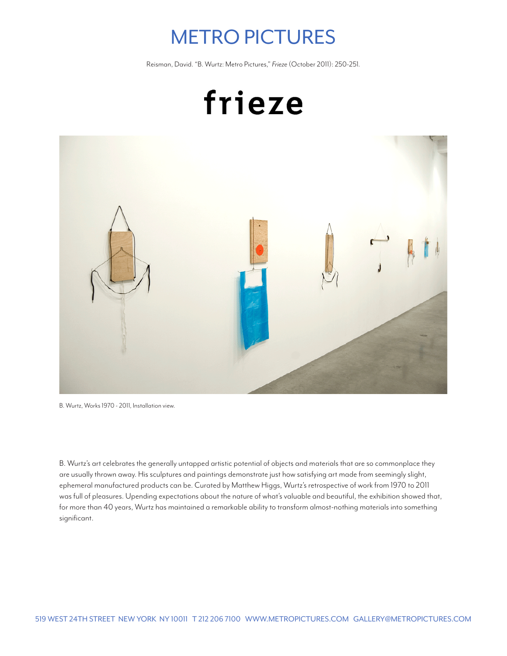## METRO PICTURES

Reisman, David. "B. Wurtz: Metro Pictures," *Frieze* (October 2011): 250-251.



B. Wurtz, Works 1970 - 2011, Installation view.

B. Wurtz's art celebrates the generally untapped artistic potential of objects and materials that are so commonplace they are usually thrown away. His sculptures and paintings demonstrate just how satisfying art made from seemingly slight, ephemeral manufactured products can be. Curated by Matthew Higgs, Wurtz's retrospective of work from 1970 to 2011 was full of pleasures. Upending expectations about the nature of what's valuable and beautiful, the exhibition showed that, for more than 40 years, Wurtz has maintained a remarkable ability to transform almost-nothing materials into something significant.